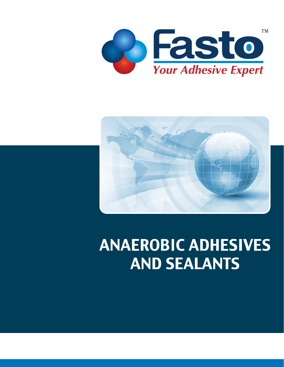



# **ANAEROBIC ADHESIVES AND SEALANTS**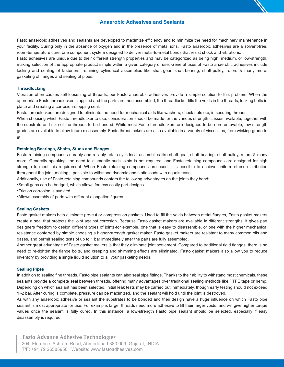#### **Anaerobic Adhesives and Sealants**

Fasto anaerobic adhesives and sealants are developed to maximize efficiency and to minimize the need for machinery maintenance in your facility. Curing only in the absence of oxygen and in the presence of metal ions, Fasto anaerobic adhesives are a solvent-free, room-temperature cure, one component system designed to deliver metal-to-metal bonds that resist shock and vibrations.

Fasto adhesives are unique due to their different strength properties and may be categorized as being high, medium, or low-strength, making selection of the appropriate product simple within a given category of use. General uses of Fasto anaerobic adhesives include locking and sealing of fasteners, retaining cylindrical assemblies like shaft-gear, shaft-bearing, shaft-pulley, rotors & many more, gasketing of flanges and sealing of pipes.

#### **Threadlocking**

Vibration often causes self-loosening of threads, our Fasto anaerobic adhesives provide a simple solution to this problem. When the appropriate Fasto threadlocker is applied and the parts are then assembled, the threadlocker fills the voids in the threads, locking bolts in place and creating a corrosion-stopping seal.

Fasto threadlockers are designed to eliminate the need for mechanical aids like washers, check nuts etc, in securing threads.

When choosing which Fasto threadlocker to use, consideration should be made for the various strength classes available, together with the substrate and size of the threads to be bonded. While most Fasto threadlockers are designed to be non-removable, low-strength grades are available to allow future disassembly. Fasto threadlockers are also available in a variety of viscosities, from wicking-grade to gel.

#### **Retaining Bearings, Shafts, Studs and Flanges**

Fasto retaining compounds durably and reliably retain cylindrical assemblies like shaft-gear, shaft-bearing, shaft-pulley, rotors & many more. Generally speaking, the need to dismantle such joints is not required, and Fasto retaining compounds are designed for high strength to meet this requirement. When Fasto retaining compounds are used, it is possible to achieve uniform stress distribution throughout the joint, making it possible to withstand dynamic and static loads with equals ease.

Additionally, use of Fasto retaining compounds confers the following advantages on the joints they bond:

- •Small gaps can be bridged, which allows for less costly part designs
- •Friction corrosion is avoided
- •Allows assembly of parts with different elongation figures.

#### **Sealing Gaskets**

Fasto gasket makers help eliminate pre-cut or compression gaskets. Used to fill the voids between metal flanges, Fasto gasket makers create a seal that protects the joint against corrosion. Because Fasto gasket makers are available in different strengths, it gives part designers freedom to design different types of joints-for example, one that is easy to disassemble, or one with the higher mechanical resistance conferred by simple choosing a higher-strength gasket maker. Fasto gasket makers are resistant to many common oils and gases, and permit sealing tests of up to 1 bar immediately after the parts are fully assembled.

Another great advantage of Fasto gasket makers is that they eliminate joint settlement. Compared to traditional rigid flanges, there is no need to re-tighten the flange bolts, and creeping and shimming effects are eliminated. Fasto gasket makers also allow you to reduce inventory by providing a single liquid solution to all your gasketing needs.

#### **Sealing Pipes**

In addition to sealing fine threads, Fasto pipe sealants can also seal pipe fittings. Thanks to their ability to withstand most chemicals, these sealants provide a complete seal between threads, offering many advantages over traditional sealing methods like PTFE tape or hemp. Depending on which sealant has been selected, initial leak tests may be carried out immediately, though early testing should not exceed 1 -2 bar. After curing is complete, pressure can be maximized, and the sealant will hold until the joint is destroyed.

As with any anaerobic adhesive or sealant the substrates to be bonded and their design have a huge influence on which Fasto pipe sealant is most appropriate for use. For example, larger threads need more adhesive to fill their larger voids, and will give higher torque values once the sealant is fully cured. In this instance, a low-strength Fasto pipe sealant should be selected, especially if easy disassembly is required.

#### **Fasto Advance Adhesive Technologies**

204, Florence, Ashram Road, Ahmedabad 380 009, Gujarat, INDIA. T/F: +91 79 26585956 Website: www.fastoadhesives.com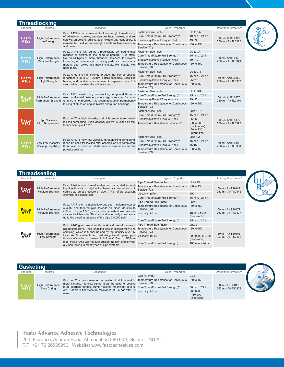|                      | <b>Threadlocking</b>                            |                                                                                                                                                                                                                                                  |                                                                |                                                            |                                       |  |
|----------------------|-------------------------------------------------|--------------------------------------------------------------------------------------------------------------------------------------------------------------------------------------------------------------------------------------------------|----------------------------------------------------------------|------------------------------------------------------------|---------------------------------------|--|
| Product              | Features                                        | Description                                                                                                                                                                                                                                      | <b>Typical Properties</b>                                      |                                                            | Ordering Information*                 |  |
|                      |                                                 | Fasto A122 is recommended for low-strength threadlocking                                                                                                                                                                                         | Fastener Size (inch)                                           | Up to $1/4$                                                |                                       |  |
|                      | <b>High Performance</b>                         | of adjustment screws, countersunk head screws, and set                                                                                                                                                                                           | Cure Time (Fixture/Full Strength)**                            | 10 min. / 24 hr.                                           |                                       |  |
| Fasto<br>A122        | LowStrength                                     | screws; on collars, pulleys, tool holders and controllers. It                                                                                                                                                                                    | Breakaway/Prevail Torque (Nm)                                  | 13/9                                                       | 50 ml - ANTL0122<br>250 ml - ANTL0322 |  |
|                      |                                                 | can also be used for low strength metals such as aluminium<br>and brass.                                                                                                                                                                         | Temperature Resistance for Continuous<br>Service (°C)          | -50 to 150                                                 |                                       |  |
|                      |                                                 | Fasto A143 is fast curing threadlocking compound thus Fastener Size (inch)                                                                                                                                                                       |                                                                | Up to 3/4                                                  |                                       |  |
|                      |                                                 | reduces or eliminates the need of primers. It is effec-                                                                                                                                                                                          | Cure Time (Fixture/Full Strength)**                            | 15 min. / 24 hr.                                           |                                       |  |
| <b>Fasto</b><br>A143 | <b>High Performance</b><br>Medium Strength      | tive on all types of metal threaded fasteners. It prevents<br>loosening of fasteners on vibrating parts such as pumps,                                                                                                                           | Breakaway/Prevail Torque (Nm.)                                 | 19/10                                                      | 50 ml - ANTL0143<br>250 ml - ANTL0343 |  |
|                      |                                                 | motors, gear boxes and machine tools. Removable with<br>hand tools.                                                                                                                                                                              | Temperature Resistance for Continuous<br>Service $(^{\circ}C)$ | -50 to 150                                                 |                                       |  |
|                      | High Performance<br><b>High Strength</b>        | Fasto A162 is a high strength product that can be applied<br>to fasteners up to 3/4" (20mm) before assembly. Localized<br>heating and hand tools are required to separate parts. Sol-<br>vents will not weaken the adhesive bond.                | Fastener Size (inch)                                           | Up to $3/4$                                                |                                       |  |
|                      |                                                 |                                                                                                                                                                                                                                                  | Cure Time (Fixture/Full Strength)**                            | 15 min. / 24 hr.                                           | 50 ml - ANTL0162<br>250 ml - ANTL0362 |  |
| <b>Fasto</b><br>A162 |                                                 |                                                                                                                                                                                                                                                  | Breakaway/Prevail Torque (Nm.)                                 | 25/25                                                      |                                       |  |
|                      |                                                 |                                                                                                                                                                                                                                                  | Temperature Resistance for Continuous<br>Service (°C)          | -50 to 150                                                 |                                       |  |
|                      | <b>High Performance</b><br>Permanent Strength   | Fasto A170 is fast curing threadlocking compound. It can be<br>used on all metal fasteners where regular removal for main-<br>tenance is not required. It is recommended for permanently<br>locking of studs on engine blocks and pump housings. | Fastener Size (inch)                                           | Up to $3/4$                                                | 50 ml - ANTL0170<br>250 ml - ANTL0370 |  |
|                      |                                                 |                                                                                                                                                                                                                                                  | Cure Time (Fixture/Full Strength)**                            | 15 min. / 24 hr.                                           |                                       |  |
| Fasto<br>A170        |                                                 |                                                                                                                                                                                                                                                  | Breakaway/Prevail Torque (Nm.)                                 | 29/33                                                      |                                       |  |
|                      |                                                 |                                                                                                                                                                                                                                                  | Temperature Resistance for Continuous<br>Service $(^{\circ}C)$ | -50 to 150                                                 |                                       |  |
|                      | <b>High Viscosity</b><br>High Temperature       | Fasto A172 is high viscosity and high temperature thread-<br>locking compound. High viscosity allows its usage on fas-<br>teners size upto 1 1/2 ".                                                                                              | Fastener Size (inch)                                           | upto 1 1/2                                                 |                                       |  |
| Fasto<br>A172        |                                                 |                                                                                                                                                                                                                                                  | Cure Time (Fixture/Full Strength)**                            | 15 min. / 24 hr.                                           | 50 ml - ANTL0172                      |  |
|                      |                                                 |                                                                                                                                                                                                                                                  | Breakaway/Prevail Torque (Nm.)                                 | 26/26                                                      |                                       |  |
|                      |                                                 |                                                                                                                                                                                                                                                  | Temperature Resistance Service (°C)                            | -50 to 200<br>(continuous)<br>-50 to 230<br>(intermittent) | 250 ml - ANTL0372                     |  |
|                      |                                                 | Fasto A190 is very low viscosity threadlocking compound.<br>It can be used for locking after assemblies are completed.<br>It can also be used for interference fit assemblies and for<br>porosity sealing.                                       | Fastener Size (inch)                                           | upto $1/2$                                                 | 50 ml - ANTL0190<br>250 ml - ANTL0390 |  |
|                      |                                                 |                                                                                                                                                                                                                                                  | Cure Time (Fixture/Full Strength)**                            | 15 min. / 24 hr.                                           |                                       |  |
| Fasto<br>A190        | Very Low Viscosity<br><b>Wicking Capability</b> |                                                                                                                                                                                                                                                  | Breakaway/Prevail Torque (Nm.)                                 | 16/16                                                      |                                       |  |
|                      |                                                 |                                                                                                                                                                                                                                                  | Temperature Resistance for Continuous<br>Service (°C)          | -50 to 150                                                 |                                       |  |

| <b>Threadsealing</b>        |                                            |                                                                                                                                                                                                                                                                                                                           |                                                       |                                   |                                       |  |  |
|-----------------------------|--------------------------------------------|---------------------------------------------------------------------------------------------------------------------------------------------------------------------------------------------------------------------------------------------------------------------------------------------------------------------------|-------------------------------------------------------|-----------------------------------|---------------------------------------|--|--|
| Product                     | Features                                   | Description                                                                                                                                                                                                                                                                                                               | <b>Typical Properties</b>                             |                                   | Ordering Information*                 |  |  |
|                             |                                            |                                                                                                                                                                                                                                                                                                                           | Pipe Thread Size (inch)                               | Upto $3/4$                        |                                       |  |  |
| <b>Fasto</b><br>A742        | <b>High Performance</b><br>Medium Strength | Fasto A742 is liquid thread sealant, recommended for seal-<br>ing fine threads of Hydraulic/ Pneumatic connections. It<br>seals upto burst pressure of pipe. A742 offers excellent<br>chemical resistance also.                                                                                                           | Temperature Resistance for Continuous<br>Service (°C) | $-50$ to $150$                    | 50 ml - ANTS0142<br>250 ml - ANTS0342 |  |  |
|                             |                                            |                                                                                                                                                                                                                                                                                                                           | Viscosity (cPs)                                       | 500                               |                                       |  |  |
|                             |                                            |                                                                                                                                                                                                                                                                                                                           | Cure Time (Fixture/Full Strength)**                   | 15 min. / 24 hr.                  |                                       |  |  |
| <b>Fasto</b><br><b>A777</b> | <b>High Performance</b><br>Medium Strength | Fasto A777 is formulated to lock and seal medium to coarse<br>straight and tapered pipe threads on pipes Ø15mm to<br>Ø80mm. Fasto A777 gives an almost instant low pressure<br>seal (upto 2 bar after 20mins.) and when fully cured seals<br>up to the bursting pressure of the pipe (10,000 psi).                        | Pipe Thread Size (inch)                               | upto 3                            | 50 ml - ANTS0177<br>250 ml - ANTS0377 |  |  |
|                             |                                            |                                                                                                                                                                                                                                                                                                                           | Temperature Resistance for Continuous<br>Service (°C) | -50 to 150                        |                                       |  |  |
|                             |                                            |                                                                                                                                                                                                                                                                                                                           | Viscosity (cPs)                                       | 48000 / 15000<br>(thixotropic)    |                                       |  |  |
|                             |                                            |                                                                                                                                                                                                                                                                                                                           | Cure Time (Fixture/Full Strength)**                   | 15 min. / 24 hr.                  |                                       |  |  |
| Fasto<br>A765               | <b>High Performance</b><br>Low Strength    | Fasto A765 gives low strength break and prevail torque on<br>assembled joints, thus enabling easier disassembly and<br>servicing, which is further helped by the lubricity of A765. Service $(°C)$<br>Fasto A765 is suitable for most straight and tapered pipe<br>threads of medium to coarse pitch, from Ø15mm to Ø80mm | Pipe Thread Size (inch)                               | upto 3                            | 50 ml - ANTS0165<br>250 ml - ANTS0365 |  |  |
|                             |                                            |                                                                                                                                                                                                                                                                                                                           | Temperature Resistance for Continuous                 | -50 to 150                        |                                       |  |  |
|                             |                                            |                                                                                                                                                                                                                                                                                                                           | Viscosity (cPs)                                       | 300,000 / 80,000<br>(thixotropic) |                                       |  |  |
|                             |                                            | pipe. Fasto A765 will not cure outside the joint and is virtu-<br>ally non-fouling in most types of pipe systems.                                                                                                                                                                                                         | Cure Time (Fixture/Full Strength)                     | 100 min. / 24 hr.                 |                                       |  |  |

|               | Gasketing               |                                                                                                                                                                                                                                                                                                                                                                      |                           |                                       |                                       |  |  |  |
|---------------|-------------------------|----------------------------------------------------------------------------------------------------------------------------------------------------------------------------------------------------------------------------------------------------------------------------------------------------------------------------------------------------------------------|---------------------------|---------------------------------------|---------------------------------------|--|--|--|
| Product       | Features                | Description                                                                                                                                                                                                                                                                                                                                                          | <b>Typical Properties</b> |                                       | Ordering Information*                 |  |  |  |
|               |                         |                                                                                                                                                                                                                                                                                                                                                                      | Gap Fill (mm)             | 0.35                                  |                                       |  |  |  |
| Fasto<br>A473 | <b>High Performance</b> | Fasto A473 is recommended for sealing rigid & semi-rigid Temperature Resistance for Continuous<br>metal flanges. It is slow curing. It can be used for sealing Service (°C)<br>large gearbox flanges, pump housing, machinery covers, Cure Time (Fixture/Full Strength)**<br>etc. It offers initial pressure resistance of 0.5 bar after 20 Viscosity (cPs)<br>mins. |                           | $-50$ to 150                          | 50 ml - ANFS0173<br>250 ml - ANFS0373 |  |  |  |
|               | Slow Curing             |                                                                                                                                                                                                                                                                                                                                                                      |                           | 30 min. / 24 hr.                      |                                       |  |  |  |
|               |                         |                                                                                                                                                                                                                                                                                                                                                                      |                           | 500,000<br>/ 110,000<br>(thixotropic) |                                       |  |  |  |

## **Fasto Advance Adhesive Technologies**

204, Florence, Ashram Road, Ahmedabad 380 009, Gujarat, INDIA. T/F: +91 79 26585956 Website: www.fastoadhesives.com